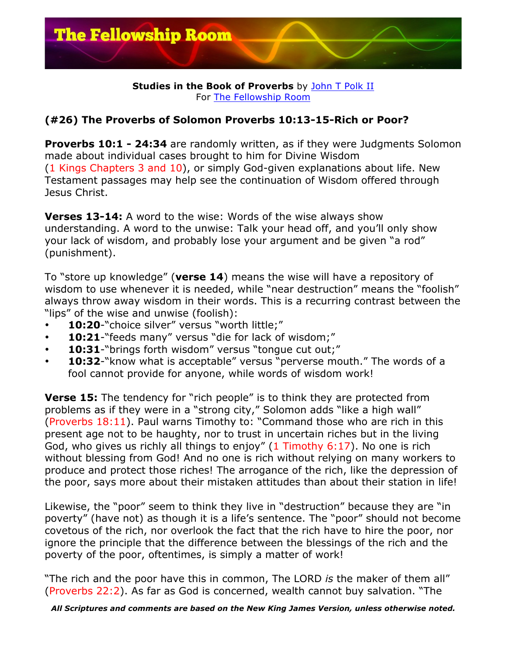

## **Studies in the Book of Proverbs** by John T Polk II For The Fellowship Room

## **(#26) The Proverbs of Solomon Proverbs 10:13-15-Rich or Poor?**

**Proverbs 10:1 - 24:34** are randomly written, as if they were Judgments Solomon made about individual cases brought to him for Divine Wisdom (1 Kings Chapters 3 and 10), or simply God-given explanations about life. New Testament passages may help see the continuation of Wisdom offered through Jesus Christ.

**Verses 13-14:** A word to the wise: Words of the wise always show understanding. A word to the unwise: Talk your head off, and you'll only show your lack of wisdom, and probably lose your argument and be given "a rod" (punishment).

To "store up knowledge" (**verse 14**) means the wise will have a repository of wisdom to use whenever it is needed, while "near destruction" means the "foolish" always throw away wisdom in their words. This is a recurring contrast between the "lips" of the wise and unwise (foolish):

- 10:20-"choice silver" versus "worth little;"
- 10:21-"feeds many" versus "die for lack of wisdom;"
- 10:31-"brings forth wisdom" versus "tongue cut out;"
- 10:32-"know what is acceptable" versus "perverse mouth." The words of a fool cannot provide for anyone, while words of wisdom work!

**Verse 15:** The tendency for "rich people" is to think they are protected from problems as if they were in a "strong city," Solomon adds "like a high wall" (Proverbs 18:11). Paul warns Timothy to: "Command those who are rich in this present age not to be haughty, nor to trust in uncertain riches but in the living God, who gives us richly all things to enjoy" (1 Timothy 6:17). No one is rich without blessing from God! And no one is rich without relying on many workers to produce and protect those riches! The arrogance of the rich, like the depression of the poor, says more about their mistaken attitudes than about their station in life!

Likewise, the "poor" seem to think they live in "destruction" because they are "in poverty" (have not) as though it is a life's sentence. The "poor" should not become covetous of the rich, nor overlook the fact that the rich have to hire the poor, nor ignore the principle that the difference between the blessings of the rich and the poverty of the poor, oftentimes, is simply a matter of work!

"The rich and the poor have this in common, The LORD *is* the maker of them all" (Proverbs 22:2). As far as God is concerned, wealth cannot buy salvation. "The

*All Scriptures and comments are based on the New King James Version, unless otherwise noted.*